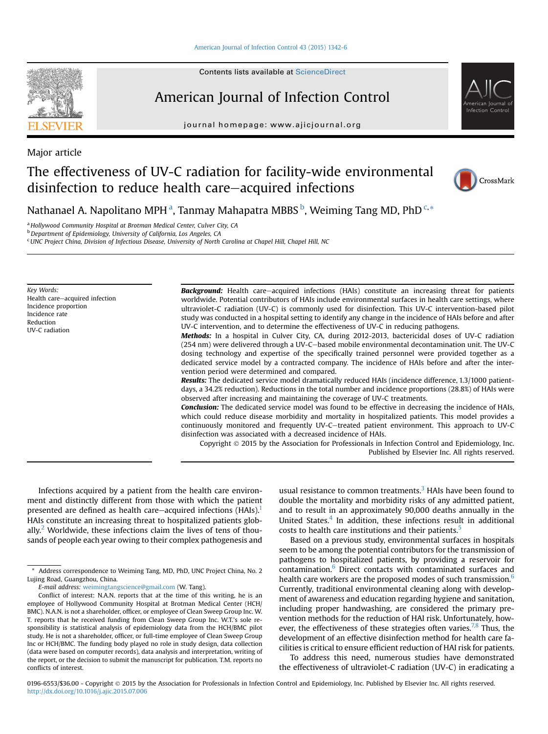Contents lists available at ScienceDirect

## American Journal of Infection Control

journal homepage: [www.ajicjournal.org](http://www.ajicjournal.org)



# The effectiveness of UV-C radiation for facility-wide environmental disinfection to reduce health care-acquired infections



Nathanael A. Napolitano MPH <sup>a</sup>, Tanmay Mahapatra MBBS <sup>b</sup>, Weiming Tang MD, PhD <sup>c,</sup> \*

<sup>a</sup> Hollywood Community Hospital at Brotman Medical Center, Culver City, CA

<sup>b</sup> Department of Epidemiology, University of California, Los Angeles, CA

<sup>c</sup>UNC Project China, Division of Infectious Disease, University of North Carolina at Chapel Hill, Chapel Hill, NC

Key Words: Health care-acquired infection Incidence proportion Incidence rate Reduction UV-C radiation

Major article

Background: Health care-acquired infections (HAIs) constitute an increasing threat for patients worldwide. Potential contributors of HAIs include environmental surfaces in health care settings, where ultraviolet-C radiation (UV-C) is commonly used for disinfection. This UV-C intervention-based pilot study was conducted in a hospital setting to identify any change in the incidence of HAIs before and after UV-C intervention, and to determine the effectiveness of UV-C in reducing pathogens.

Methods: In a hospital in Culver City, CA, during 2012-2013, bactericidal doses of UV-C radiation (254 nm) were delivered through a UV-C-based mobile environmental decontamination unit. The UV-C dosing technology and expertise of the specifically trained personnel were provided together as a dedicated service model by a contracted company. The incidence of HAIs before and after the intervention period were determined and compared.

Results: The dedicated service model dramatically reduced HAIs (incidence difference, 1.3/1000 patientdays, a 34.2% reduction). Reductions in the total number and incidence proportions (28.8%) of HAIs were observed after increasing and maintaining the coverage of UV-C treatments.

**Conclusion:** The dedicated service model was found to be effective in decreasing the incidence of HAIs, which could reduce disease morbidity and mortality in hospitalized patients. This model provides a continuously monitored and frequently UV-C-treated patient environment. This approach to UV-C disinfection was associated with a decreased incidence of HAIs.

Copyright 2015 by the Association for Professionals in Infection Control and Epidemiology, Inc. Published by Elsevier Inc. All rights reserved.

Infections acquired by a patient from the health care environment and distinctly different from those with which the patient presented are defined as health care-acquired infections (HAIs). $<sup>1</sup>$  $<sup>1</sup>$  $<sup>1</sup>$ </sup> HAIs constitute an increasing threat to hospitalized patients glob-ally.<sup>[2](#page-4-0)</sup> Worldwide, these infections claim the lives of tens of thousands of people each year owing to their complex pathogenesis and

E-mail address: [weimingtangscience@gmail.com](mailto:weimingtangscience@gmail.com) (W. Tang).

usual resistance to common treatments.<sup>[3](#page-4-0)</sup> HAIs have been found to double the mortality and morbidity risks of any admitted patient, and to result in an approximately 90,000 deaths annually in the United States. $4$  In addition, these infections result in additional costs to health care institutions and their patients.<sup>[5](#page-4-0)</sup>

Based on a previous study, environmental surfaces in hospitals seem to be among the potential contributors for the transmission of pathogens to hospitalized patients, by providing a reservoir for contamination.<sup>6</sup> Direct contacts with contaminated surfaces and health care workers are the proposed modes of such transmission.<sup>6</sup> Currently, traditional environmental cleaning along with development of awareness and education regarding hygiene and sanitation, including proper handwashing, are considered the primary prevention methods for the reduction of HAI risk. Unfortunately, however, the effectiveness of these strategies often varies.<sup>7,8</sup> Thus, the development of an effective disinfection method for health care facilities is critical to ensure efficient reduction of HAI risk for patients.

To address this need, numerous studies have demonstrated the effectiveness of ultraviolet-C radiation (UV-C) in eradicating a

0196-6553/\$36.00 - Copyright © 2015 by the Association for Professionals in Infection Control and Epidemiology, Inc. Published by Elsevier Inc. All rights reserved. <http://dx.doi.org/10.1016/j.ajic.2015.07.006>

<sup>\*</sup> Address correspondence to Weiming Tang, MD, PhD, UNC Project China, No. 2 Lujing Road, Guangzhou, China.

Conflict of interest: N.A.N. reports that at the time of this writing, he is an employee of Hollywood Community Hospital at Brotman Medical Center (HCH/ BMC). N.A.N. is not a shareholder, officer, or employee of Clean Sweep Group Inc. W. T. reports that he received funding from Clean Sweep Group Inc. W.T.'s sole responsibility is statistical analysis of epidemiology data from the HCH/BMC pilot study. He is not a shareholder, officer, or full-time employee of Clean Sweep Group Inc or HCH/BMC. The funding body played no role in study design, data collection (data were based on computer records), data analysis and interpretation, writing of the report, or the decision to submit the manuscript for publication. T.M. reports no conflicts of interest.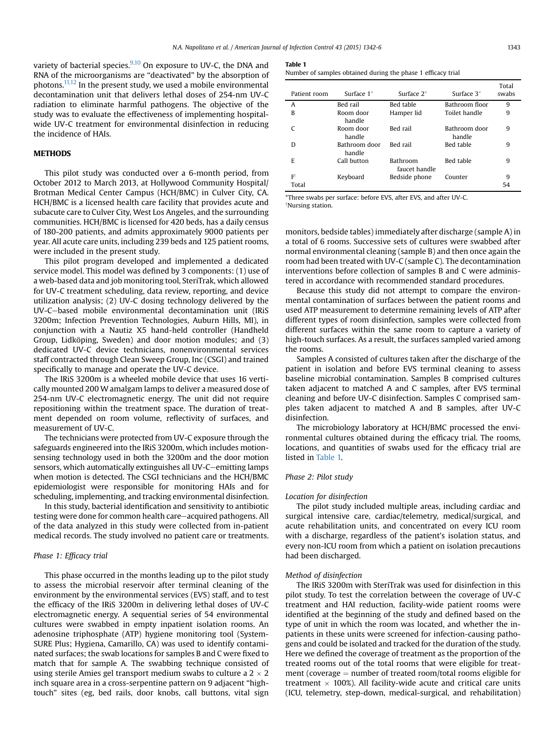<span id="page-1-0"></span>variety of bacterial species.<sup>[9,10](#page-4-0)</sup> On exposure to UV-C, the DNA and RNA of the microorganisms are "deactivated" by the absorption of photons[.11,12](#page-4-0) In the present study, we used a mobile environmental decontamination unit that delivers lethal doses of 254-nm UV-C radiation to eliminate harmful pathogens. The objective of the study was to evaluate the effectiveness of implementing hospitalwide UV-C treatment for environmental disinfection in reducing the incidence of HAIs.

## **METHODS**

This pilot study was conducted over a 6-month period, from October 2012 to March 2013, at Hollywood Community Hospital/ Brotman Medical Center Campus (HCH/BMC) in Culver City, CA. HCH/BMC is a licensed health care facility that provides acute and subacute care to Culver City, West Los Angeles, and the surrounding communities. HCH/BMC is licensed for 420 beds, has a daily census of 180-200 patients, and admits approximately 9000 patients per year. All acute care units, including 239 beds and 125 patient rooms, were included in the present study.

This pilot program developed and implemented a dedicated service model. This model was defined by 3 components: (1) use of a web-based data and job monitoring tool, SteriTrak, which allowed for UV-C treatment scheduling, data review, reporting, and device utilization analysis; (2) UV-C dosing technology delivered by the UV-C-based mobile environmental decontamination unit (IRiS 3200m; Infection Prevention Technologies, Auburn Hills, MI), in conjunction with a Nautiz X5 hand-held controller (Handheld Group, Lidköping, Sweden) and door motion modules; and (3) dedicated UV-C device technicians, nonenvironmental services staff contracted through Clean Sweep Group, Inc (CSGI) and trained specifically to manage and operate the UV-C device.

The IRiS 3200m is a wheeled mobile device that uses 16 vertically mounted 200 W amalgam lamps to deliver a measured dose of 254-nm UV-C electromagnetic energy. The unit did not require repositioning within the treatment space. The duration of treatment depended on room volume, reflectivity of surfaces, and measurement of UV-C.

The technicians were protected from UV-C exposure through the safeguards engineered into the IRiS 3200m, which includes motionsensing technology used in both the 3200m and the door motion sensors, which automatically extinguishes all UV-C-emitting lamps when motion is detected. The CSGI technicians and the HCH/BMC epidemiologist were responsible for monitoring HAIs and for scheduling, implementing, and tracking environmental disinfection.

In this study, bacterial identification and sensitivity to antibiotic testing were done for common health care-acquired pathogens. All of the data analyzed in this study were collected from in-patient medical records. The study involved no patient care or treatments.

## Phase 1: Efficacy trial

This phase occurred in the months leading up to the pilot study to assess the microbial reservoir after terminal cleaning of the environment by the environmental services (EVS) staff, and to test the efficacy of the IRiS 3200m in delivering lethal doses of UV-C electromagnetic energy. A sequential series of 54 environmental cultures were swabbed in empty inpatient isolation rooms. An adenosine triphosphate (ATP) hygiene monitoring tool (System-SURE Plus; Hygiena, Camarillo, CA) was used to identify contaminated surfaces; the swab locations for samples B and C were fixed to match that for sample A. The swabbing technique consisted of using sterile Amies gel transport medium swabs to culture a  $2 \times 2$ inch square area in a cross-serpentine pattern on 9 adjacent "hightouch" sites (eg, bed rails, door knobs, call buttons, vital sign

|--|

 $\mathbf 1$ 

| Number of samples obtained during the phase 1 efficacy trial |  |  |
|--------------------------------------------------------------|--|--|
|--------------------------------------------------------------|--|--|

| Patient room | Surface 1*              | Surface $2^*$             | Surface $3*$            | Total<br>swabs |
|--------------|-------------------------|---------------------------|-------------------------|----------------|
| A            | Bed rail                | Bed table                 | Bathroom floor          | 9              |
| B            | Room door<br>handle     | Hamper lid                | Toilet handle           | 9              |
|              | Room door<br>handle     | Bed rail                  | Bathroom door<br>handle | 9              |
| D            | Bathroom door<br>handle | Bed rail                  | Bed table               | 9              |
| E            | Call button             | Bathroom<br>faucet handle | Bed table               | 9              |
| Fİ           | Keyboard                | Bedside phone             | Counter                 | 9              |
| Total        |                         |                           |                         | 54             |

\*Three swabs per surface: before EVS, after EVS, and after UV-C. <sup>†</sup>Nursing station.

monitors, bedside tables) immediately after discharge (sample A) in a total of 6 rooms. Successive sets of cultures were swabbed after normal environmental cleaning (sample B) and then once again the room had been treated with UV-C (sample C). The decontamination interventions before collection of samples B and C were administered in accordance with recommended standard procedures.

Because this study did not attempt to compare the environmental contamination of surfaces between the patient rooms and used ATP measurement to determine remaining levels of ATP after different types of room disinfection, samples were collected from different surfaces within the same room to capture a variety of high-touch surfaces. As a result, the surfaces sampled varied among the rooms.

Samples A consisted of cultures taken after the discharge of the patient in isolation and before EVS terminal cleaning to assess baseline microbial contamination. Samples B comprised cultures taken adjacent to matched A and C samples, after EVS terminal cleaning and before UV-C disinfection. Samples C comprised samples taken adjacent to matched A and B samples, after UV-C disinfection.

The microbiology laboratory at HCH/BMC processed the environmental cultures obtained during the efficacy trial. The rooms, locations, and quantities of swabs used for the efficacy trial are listed in Table 1.

## Phase 2: Pilot study

#### Location for disinfection

The pilot study included multiple areas, including cardiac and surgical intensive care, cardiac/telemetry, medical/surgical, and acute rehabilitation units, and concentrated on every ICU room with a discharge, regardless of the patient's isolation status, and every non-ICU room from which a patient on isolation precautions had been discharged.

## Method of disinfection

The IRiS 3200m with SteriTrak was used for disinfection in this pilot study. To test the correlation between the coverage of UV-C treatment and HAI reduction, facility-wide patient rooms were identified at the beginning of the study and defined based on the type of unit in which the room was located, and whether the inpatients in these units were screened for infection-causing pathogens and could be isolated and tracked for the duration of the study. Here we defined the coverage of treatment as the proportion of the treated rooms out of the total rooms that were eligible for treatment (coverage  $=$  number of treated room/total rooms eligible for treatment  $\times$  100%). All facility-wide acute and critical care units (ICU, telemetry, step-down, medical-surgical, and rehabilitation)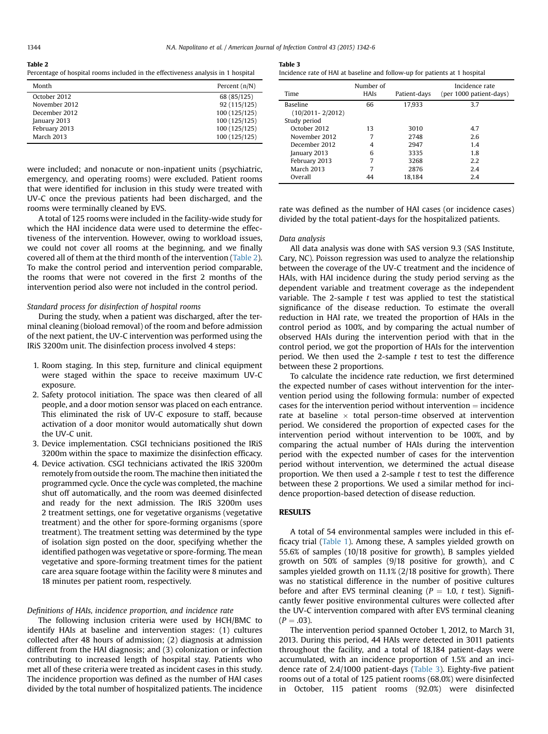<span id="page-2-0"></span>

| $\sim$<br>. .<br>. . |  |
|----------------------|--|
|----------------------|--|

Percentage of hospital rooms included in the effectiveness analysis in 1 hospital

| Month             | Percent $(n/N)$ |
|-------------------|-----------------|
| October 2012      | 68 (85/125)     |
| November 2012     | 92 (115/125)    |
| December 2012     | 100 (125/125)   |
| January 2013      | 100 (125/125)   |
| February 2013     | 100 (125/125)   |
| <b>March 2013</b> | 100 (125/125)   |

were included; and nonacute or non-inpatient units (psychiatric, emergency, and operating rooms) were excluded. Patient rooms that were identified for inclusion in this study were treated with UV-C once the previous patients had been discharged, and the rooms were terminally cleaned by EVS.

A total of 125 rooms were included in the facility-wide study for which the HAI incidence data were used to determine the effectiveness of the intervention. However, owing to workload issues, we could not cover all rooms at the beginning, and we finally covered all of them at the third month of the intervention (Table 2). To make the control period and intervention period comparable, the rooms that were not covered in the first 2 months of the intervention period also were not included in the control period.

## Standard process for disinfection of hospital rooms

During the study, when a patient was discharged, after the terminal cleaning (bioload removal) of the room and before admission of the next patient, the UV-C intervention was performed using the IRiS 3200m unit. The disinfection process involved 4 steps:

- 1. Room staging. In this step, furniture and clinical equipment were staged within the space to receive maximum UV-C exposure.
- 2. Safety protocol initiation. The space was then cleared of all people, and a door motion sensor was placed on each entrance. This eliminated the risk of UV-C exposure to staff, because activation of a door monitor would automatically shut down the UV-C unit.
- 3. Device implementation. CSGI technicians positioned the IRiS 3200m within the space to maximize the disinfection efficacy.
- 4. Device activation. CSGI technicians activated the IRiS 3200m remotely from outside the room. The machine then initiated the programmed cycle. Once the cycle was completed, the machine shut off automatically, and the room was deemed disinfected and ready for the next admission. The IRiS 3200m uses 2 treatment settings, one for vegetative organisms (vegetative treatment) and the other for spore-forming organisms (spore treatment). The treatment setting was determined by the type of isolation sign posted on the door, specifying whether the identified pathogen was vegetative or spore-forming. The mean vegetative and spore-forming treatment times for the patient care area square footage within the facility were 8 minutes and 18 minutes per patient room, respectively.

## Definitions of HAIs, incidence proportion, and incidence rate

The following inclusion criteria were used by HCH/BMC to identify HAIs at baseline and intervention stages: (1) cultures collected after 48 hours of admission; (2) diagnosis at admission different from the HAI diagnosis; and (3) colonization or infection contributing to increased length of hospital stay. Patients who met all of these criteria were treated as incident cases in this study. The incidence proportion was defined as the number of HAI cases divided by the total number of hospitalized patients. The incidence

| Table 3                                                                    |  |  |
|----------------------------------------------------------------------------|--|--|
| Incidence rate of HAI at baseline and follow-up for patients at 1 hospital |  |  |

| Time                 | Number of<br><b>HAIs</b> | Patient-days | Incidence rate<br>(per 1000 patient-days) |
|----------------------|--------------------------|--------------|-------------------------------------------|
| <b>Baseline</b>      | 66                       | 17.933       | 3.7                                       |
| $(10/2011 - 2/2012)$ |                          |              |                                           |
| Study period         |                          |              |                                           |
| October 2012         | 13                       | 3010         | 4.7                                       |
| November 2012        | 7                        | 2748         | 2.6                                       |
| December 2012        | 4                        | 2947         | 1.4                                       |
| January 2013         | 6                        | 3335         | 1.8                                       |
| February 2013        | 7                        | 3268         | 2.2                                       |
| <b>March 2013</b>    | 7                        | 2876         | 2.4                                       |
| Overall              | 44                       | 18.184       | 2.4                                       |

rate was defined as the number of HAI cases (or incidence cases) divided by the total patient-days for the hospitalized patients.

## Data analysis

All data analysis was done with SAS version 9.3 (SAS Institute, Cary, NC). Poisson regression was used to analyze the relationship between the coverage of the UV-C treatment and the incidence of HAIs, with HAI incidence during the study period serving as the dependent variable and treatment coverage as the independent variable. The 2-sample  $t$  test was applied to test the statistical significance of the disease reduction. To estimate the overall reduction in HAI rate, we treated the proportion of HAIs in the control period as 100%, and by comparing the actual number of observed HAIs during the intervention period with that in the control period, we got the proportion of HAIs for the intervention period. We then used the 2-sample  $t$  test to test the difference between these 2 proportions.

To calculate the incidence rate reduction, we first determined the expected number of cases without intervention for the intervention period using the following formula: number of expected cases for the intervention period without intervention  $=$  incidence rate at baseline  $\times$  total person-time observed at intervention period. We considered the proportion of expected cases for the intervention period without intervention to be 100%, and by comparing the actual number of HAIs during the intervention period with the expected number of cases for the intervention period without intervention, we determined the actual disease proportion. We then used a 2-sample  $t$  test to test the difference between these 2 proportions. We used a similar method for incidence proportion-based detection of disease reduction.

## **RESULTS**

A total of 54 environmental samples were included in this ef-ficacy trial [\(Table 1](#page-1-0)). Among these, A samples yielded growth on 55.6% of samples (10/18 positive for growth), B samples yielded growth on 50% of samples (9/18 positive for growth), and C samples yielded growth on 11.1% (2/18 positive for growth). There was no statistical difference in the number of positive cultures before and after EVS terminal cleaning ( $P = 1.0$ , t test). Significantly fewer positive environmental cultures were collected after the UV-C intervention compared with after EVS terminal cleaning  $(P = .03)$ .

The intervention period spanned October 1, 2012, to March 31, 2013. During this period, 44 HAIs were detected in 3011 patients throughout the facility, and a total of 18,184 patient-days were accumulated, with an incidence proportion of 1.5% and an incidence rate of 2.4/1000 patient-days (Table 3). Eighty-five patient rooms out of a total of 125 patient rooms (68.0%) were disinfected in October, 115 patient rooms (92.0%) were disinfected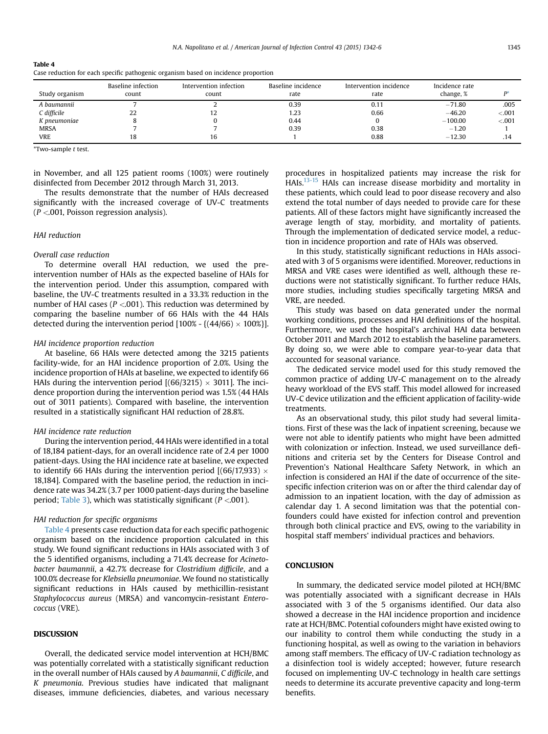## Table 4

| Case reduction for each specific pathogenic organism based on incidence proportion |  |  |  |  |
|------------------------------------------------------------------------------------|--|--|--|--|
|                                                                                    |  |  |  |  |

| Study organism | Baseline infection<br>count | Intervention infection<br>count | Baseline incidence<br>rate | Intervention incidence<br>rate | Incidence rate<br>change, % |         |
|----------------|-----------------------------|---------------------------------|----------------------------|--------------------------------|-----------------------------|---------|
| A baumannii    |                             |                                 | 0.39                       | 0.11                           | $-71.80$                    | .005    |
| C difficile    | 22                          |                                 | 1.23                       | 0.66                           | $-46.20$                    | < 0.001 |
| K pneumoniae   |                             |                                 | 0.44                       |                                | $-100.00$                   | < 0.001 |
| <b>MRSA</b>    |                             |                                 | 0.39                       | 0.38                           | $-1.20$                     |         |
| <b>VRE</b>     | 18                          | 16                              |                            | 0.88                           | $-12.30$                    | .14     |

 $*$ Two-sample  $t$  test.

in November, and all 125 patient rooms (100%) were routinely disinfected from December 2012 through March 31, 2013.

The results demonstrate that the number of HAIs decreased significantly with the increased coverage of UV-C treatments  $(P < .001$ , Poisson regression analysis).

## HAI reduction

## Overall case reduction

To determine overall HAI reduction, we used the preintervention number of HAIs as the expected baseline of HAIs for the intervention period. Under this assumption, compared with baseline, the UV-C treatments resulted in a 33.3% reduction in the number of HAI cases ( $P < .001$ ). This reduction was determined by comparing the baseline number of 66 HAIs with the 44 HAIs detected during the intervention period  $[100% - {(44/66) \times 100%}]$ .

## HAI incidence proportion reduction

At baseline, 66 HAIs were detected among the 3215 patients facility-wide, for an HAI incidence proportion of 2.0%. Using the incidence proportion of HAIs at baseline, we expected to identify 66 HAIs during the intervention period  $[(66/3215) \times 3011]$ . The incidence proportion during the intervention period was 1.5% (44 HAIs out of 3011 patients). Compared with baseline, the intervention resulted in a statistically significant HAI reduction of 28.8%.

#### HAI incidence rate reduction

During the intervention period, 44 HAIs were identified in a total of 18,184 patient-days, for an overall incidence rate of 2.4 per 1000 patient-days. Using the HAI incidence rate at baseline, we expected to identify 66 HAIs during the intervention period  $[(66/17,933) \times$ 18,184]. Compared with the baseline period, the reduction in incidence rate was 34.2% (3.7 per 1000 patient-days during the baseline period; [Table 3\)](#page-2-0), which was statistically significant ( $P < 001$ ).

#### HAI reduction for specific organisms

Table 4 presents case reduction data for each specific pathogenic organism based on the incidence proportion calculated in this study. We found significant reductions in HAIs associated with 3 of the 5 identified organisms, including a 71.4% decrease for Acinetobacter baumannii, a 42.7% decrease for Clostridium difficile, and a 100.0% decrease for Klebsiella pneumoniae. We found no statistically significant reductions in HAIs caused by methicillin-resistant Staphylococcus aureus (MRSA) and vancomycin-resistant Enterococcus (VRE).

## **DISCUSSION**

Overall, the dedicated service model intervention at HCH/BMC was potentially correlated with a statistically significant reduction in the overall number of HAIs caused by A baumannii, C difficile, and K pneumonia. Previous studies have indicated that malignant diseases, immune deficiencies, diabetes, and various necessary procedures in hospitalized patients may increase the risk for HAIs.<sup>13-15</sup> HAIs can increase disease morbidity and mortality in these patients, which could lead to poor disease recovery and also extend the total number of days needed to provide care for these patients. All of these factors might have significantly increased the average length of stay, morbidity, and mortality of patients. Through the implementation of dedicated service model, a reduction in incidence proportion and rate of HAIs was observed.

In this study, statistically significant reductions in HAIs associated with 3 of 5 organisms were identified. Moreover, reductions in MRSA and VRE cases were identified as well, although these reductions were not statistically significant. To further reduce HAIs, more studies, including studies specifically targeting MRSA and VRE, are needed.

This study was based on data generated under the normal working conditions, processes and HAI definitions of the hospital. Furthermore, we used the hospital's archival HAI data between October 2011 and March 2012 to establish the baseline parameters. By doing so, we were able to compare year-to-year data that accounted for seasonal variance.

The dedicated service model used for this study removed the common practice of adding UV-C management on to the already heavy workload of the EVS staff. This model allowed for increased UV-C device utilization and the efficient application of facility-wide treatments.

As an observational study, this pilot study had several limitations. First of these was the lack of inpatient screening, because we were not able to identify patients who might have been admitted with colonization or infection. Instead, we used surveillance definitions and criteria set by the Centers for Disease Control and Prevention's National Healthcare Safety Network, in which an infection is considered an HAI if the date of occurrence of the sitespecific infection criterion was on or after the third calendar day of admission to an inpatient location, with the day of admission as calendar day 1. A second limitation was that the potential confounders could have existed for infection control and prevention through both clinical practice and EVS, owing to the variability in hospital staff members' individual practices and behaviors.

## **CONCLUSION**

In summary, the dedicated service model piloted at HCH/BMC was potentially associated with a significant decrease in HAIs associated with 3 of the 5 organisms identified. Our data also showed a decrease in the HAI incidence proportion and incidence rate at HCH/BMC. Potential cofounders might have existed owing to our inability to control them while conducting the study in a functioning hospital, as well as owing to the variation in behaviors among staff members. The efficacy of UV-C radiation technology as a disinfection tool is widely accepted; however, future research focused on implementing UV-C technology in health care settings needs to determine its accurate preventive capacity and long-term benefits.